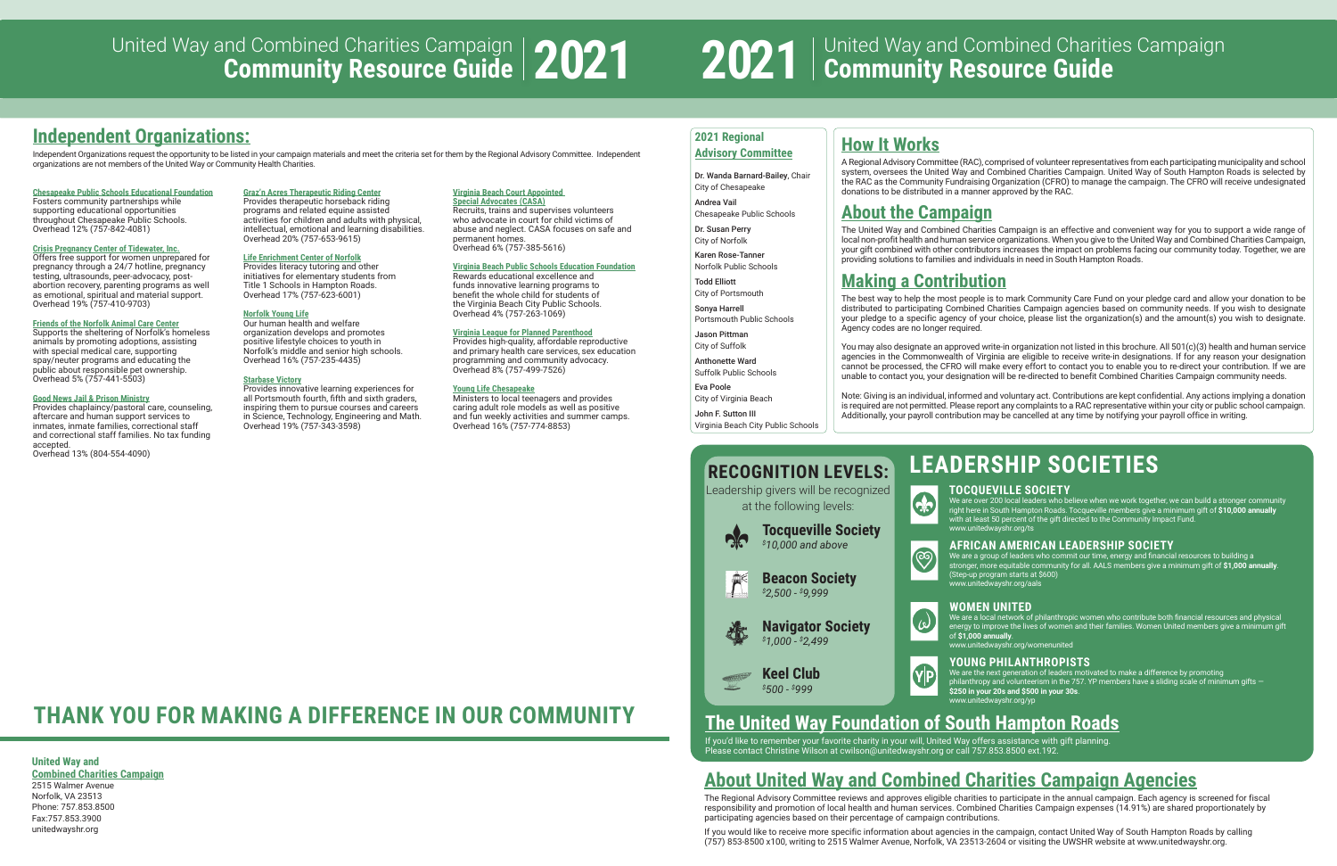# **Independent Organizations:**

Independent Organizations request the opportunity to be listed in your campaign materials and meet the criteria set for them by the Regional Advisory Committee. Independent organizations are not members of the United Way or Community Health Charities.

## **United Way and**

**Combined Charities Campaign** 2515 Walmer Avenue Norfolk, VA 23513 Phone: 757.853.8500 Fax:757.853.3900 unitedwayshr.org

# **About United Way and Combined Charities Campaign Agencies**

If you'd like to remember your favorite charity in your will, United Way offers assistance with gift planning. Please contact Christine Wilson at cwilson@unitedwayshr.org or call 757.853.8500 ext.192

The Regional Advisory Committee reviews and approves eligible charities to participate in the annual campaign. Each agency is screened for fiscal responsibility and promotion of local health and human services. Combined Charities Campaign expenses (14.91%) are shared proportionately by participating agencies based on their percentage of campaign contributions.

If you would like to receive more specific information about agencies in the campaign, contact United Way of South Hampton Roads by calling (757) 853-8500 x100, writing to 2515 Walmer Avenue, Norfolk, VA 23513-2604 or visiting the UWSHR website at www.unitedwayshr.org.

# **The United Way Foundation of South Hampton Roads**

# **How It Works**

A Regional Advisory Committee (RAC), comprised of volunteer representatives from each participating municipality and school system, oversees the United Way and Combined Charities Campaign. United Way of South Hampton Roads is selected by the RAC as the Community Fundraising Organization (CFRO) to manage the campaign. The CFRO will receive undesignated donations to be distributed in a manner approved by the RAC.

# **About the Campaign**

The United Way and Combined Charities Campaign is an effective and convenient way for you to support a wide range of local non-profit health and human service organizations. When you give to the United Way and Combined Charities Campaign, your gift combined with other contributors increases the impact on problems facing our community today. Together, we are providing solutions to families and individuals in need in South Hampton Roads.

# **Making a Contribution**

20

 $\bigotimes$ 

The best way to help the most people is to mark Community Care Fund on your pledge card and allow your donation to be distributed to participating Combined Charities Campaign agencies based on community needs. If you wish to designate your pledge to a specific agency of your choice, please list the organization(s) and the amount(s) you wish to designate. Agency codes are no longer required.

You may also designate an approved write-in organization not listed in this brochure. All 501(c)(3) health and human service agencies in the Commonwealth of Virginia are eligible to receive write-in designations. If for any reason your designation cannot be processed, the CFRO will make every effort to contact you to enable you to re-direct your contribution. If we are unable to contact you, your designation will be re-directed to benefit Combined Charities Campaign community needs.

Note: Giving is an individual, informed and voluntary act. Contributions are kept confidential. Any actions implying a donation is required are not permitted. Please report any complaints to a RAC representative within your city or public school campaign. Additionally, your payroll contribution may be cancelled at any time by notifying your payroll office in writing.

## **2021 Regional Advisory Committee**

Dr. Wanda Barnard-Bailey, Chair City of Chesapeake

Andrea Vail

Chesapeake Public Schools Dr. Susan Perry City of Norfolk

Karen Rose-Tanner Norfolk Public Schools

Todd Elliott City of Portsmouth

Sonya Harrell Portsmouth Public Schools

Jason Pittman City of Suffolk

Anthonette Ward Suffolk Public Schools

Eva Poole City of Virginia Beach

 $\hat{\bar{\Gamma}}$ 

战

John F. Sutton III Virginia Beach City Public Schools

# **THANK YOU FOR MAKING A DIFFERENCE IN OUR COMMUNITY**

# **LEADERSHIP SOCIETIES**

## **TOCQUEVILLE SOCIETY**

We are over 200 local leaders who believe when we work together, we can build a stronger community right here in South Hampton Roads. Tocqueville members give a minimum gift of **\$10,000 annually** with at least 50 percent of the gift directed to the Community Impact Fund. www.unitedwayshr.org/ts

## **AFRICAN AMERICAN LEADERSHIP SOCIETY**

We are a group of leaders who commit our time, energy and financial resources to building a stronger, more equitable community for all. AALS members give a minimum gift of **\$1,000 annually**. (Step-up program starts at \$600) www.unitedwayshr.org/aals

## **WOMEN UNITED**

We are a local network of philanthropic women who contribute both financial resources and physical energy to improve the lives of women and their families. Women United members give a minimum gift of **\$1,000 annually**.

www.unitedwayshr.org/womenunited

## **YOUNG PHILANTHROPISTS**

We are the next generation of leaders motivated to make a difference by promoting philanthropy and volunteerism in the 757. YP members have a sliding scale of minimum gifts  $-$ **\$250 in your 20s and \$500 in your 30s**. www.unitedwayshr.org/yp

# **RECOGNITION LEVELS:**

Leadership givers will be recognized at the following levels:

> **Tocqueville Society** *\$ 10,000 and above*

**Beacon Society**

*\$ 2,500 - \$ 9,999*

VP

**Navigator Society**

*\$ 1,000 - \$ 2,499*

**Keel Club** *\$ 500 - \$ 999*

## **Chesapeake Public Schools Educational Foundation**

Fosters community partnerships while supporting educational opportunities throughout Chesapeake Public Schools. Overhead 12% (757-842-4081)

## **Crisis Pregnancy Center of Tidewater, Inc.**

Offers free support for women unprepared for pregnancy through a 24/7 hotline, pregnancy testing, ultrasounds, peer-advocacy, postabortion recovery, parenting programs as well as emotional, spiritual and material support. Overhead 19% (757-410-9703)

## **Friends of the Norfolk Animal Care Center**

Supports the sheltering of Norfolk's homeless animals by promoting adoptions, assisting with special medical care, supporting spay/neuter programs and educating the public about responsible pet ownership. Overhead 5% (757-441-5503)

## **Good News Jail & Prison Ministry**

Provides chaplaincy/pastoral care, counseling, aftercare and human support services to inmates, inmate families, correctional staff and correctional staff families. No tax funding accepted.

Overhead 13% (804-554-4090)

### **Graz'n Acres Therapeutic Riding Center** Provides therapeutic horseback riding

programs and related equine assisted activities for children and adults with physical, intellectual, emotional and learning disabilities. Overhead 20% (757-653-9615)

## **Life Enrichment Center of Norfolk**

Provides literacy tutoring and other initiatives for elementary students from Title 1 Schools in Hampton Roads. Overhead 17% (757-623-6001)

## **Norfolk Young Life**

Our human health and welfare organization develops and promotes positive lifestyle choices to youth in Norfolk's middle and senior high schools. Overhead 16% (757-235-4435)

## **Starbase Victory**

Provides innovative learning experiences for all Portsmouth fourth, fifth and sixth graders, inspiring them to pursue courses and careers in Science, Technology, Engineering and Math. Overhead 19% (757-343-3598)

## **Virginia Beach Court Appointed**

**Special Advocates (CASA)** Recruits, trains and supervises volunteers who advocate in court for child victims of abuse and neglect. CASA focuses on safe and permanent homes. Overhead 6% (757-385-5616)

## **Virginia Beach Public Schools Education Foundation**

Rewards educational excellence and funds innovative learning programs to benefit the whole child for students of the Virginia Beach City Public Schools. Overhead 4% (757-263-1069)

## **Virginia League for Planned Parenthood**

Provides high-quality, affordable reproductive and primary health care services, sex education programming and community advocacy. Overhead 8% (757-499-7526)

## **Young Life Chesapeake**

Ministers to local teenagers and provides caring adult role models as well as positive and fun weekly activities and summer camps. Overhead 16% (757-774-8853)